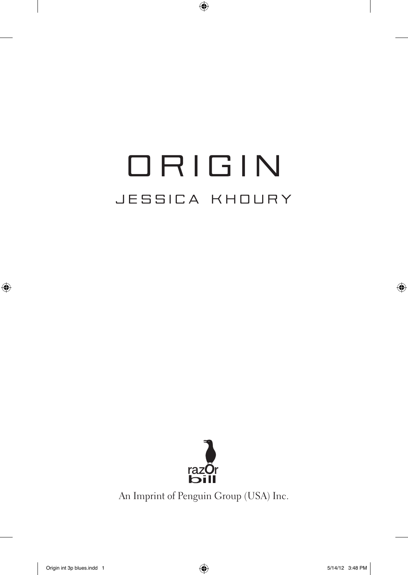## **JESSICA KHOURY ORIGIN**



An Imprint of Penguin Group (USA) Inc.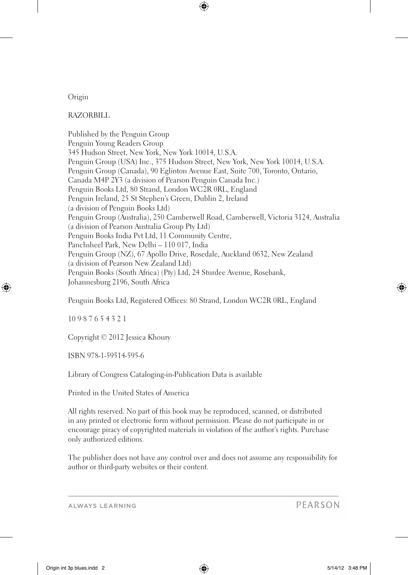#### Origin

#### RAZORBILL

Published by the Penguin Group Penguin Young Readers Group 345 Hudson Street, New York, New York 10014, U.S.A. Penguin Group (USA) Inc., 375 Hudson Street, New York, New York 10014, U.S.A. Penguin Group (Canada), 90 Eglinton Avenue East, Suite 700, Toronto, Ontario, Canada M4P 2Y3 (a division of Pearson Penguin Canada Inc.) Penguin Books Ltd, 80 Strand, London WC2R 0RL, England Penguin Ireland, 25 St Stephen's Green, Dublin 2, Ireland (a division of Penguin Books Ltd) Penguin Group (Australia), 250 Camberwell Road, Camberwell, Victoria 3124, Australia (a division of Pearson Australia Group Pty Ltd) Penguin Books India Pvt Ltd, 11 Community Centre, Panchsheel Park, New Delhi – 110 017, India Penguin Group (NZ), 67 Apollo Drive, Rosedale, Auckland 0632, New Zealand (a division of Pearson New Zealand Ltd) Penguin Books (South Africa) (Pty) Ltd, 24 Sturdee Avenue, Rosebank, Johannesburg 2196, South Africa

Penguin Books Ltd, Registered Offices: 80 Strand, London WC2R 0RL, England

10 9 8 7 6 5 4 3 2 1

Copyright © 2012 Jessica Khoury

ISBN 978-1-59514-595-6

Library of Congress Cataloging-in-Publication Data is available

Printed in the United States of America

All rights reserved. No part of this book may be reproduced, scanned, or distributed in any printed or electronic form without permission. Please do not participate in or encourage piracy of copyrighted materials in violation of the author's rights. Purchase only authorized editions.

The publisher does not have any control over and does not assume any responsibility for author or third-party websites or their content.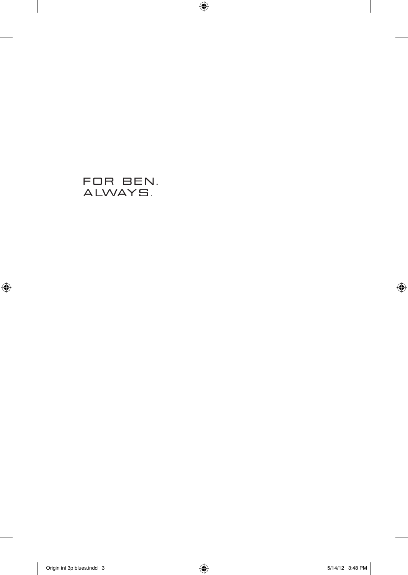### For Ben. A lways.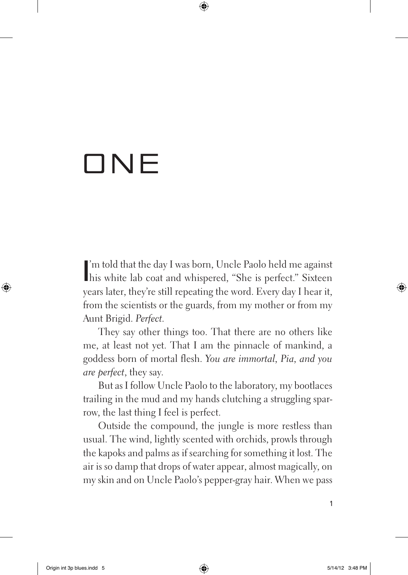# **one**

I'm told that the day I was born, Uncle Paolo held me against<br>his white lab coat and whispered, "She is perfect." Sixteen 'm told that the day I was born, Uncle Paolo held me against years later, they're still repeating the word. Every day I hear it, from the scientists or the guards, from my mother or from my Aunt Brigid. *Perfect.*

They say other things too. That there are no others like me, at least not yet. That I am the pinnacle of mankind, a goddess born of mortal flesh. *You are immortal, Pia, and you are perfect*, they say.

But as I follow Uncle Paolo to the laboratory, my bootlaces trailing in the mud and my hands clutching a struggling sparrow, the last thing I feel is perfect.

Outside the compound, the jungle is more restless than usual. The wind, lightly scented with orchids, prowls through the kapoks and palms as if searching for something it lost. The air is so damp that drops of water appear, almost magically, on my skin and on Uncle Paolo's pepper-gray hair. When we pass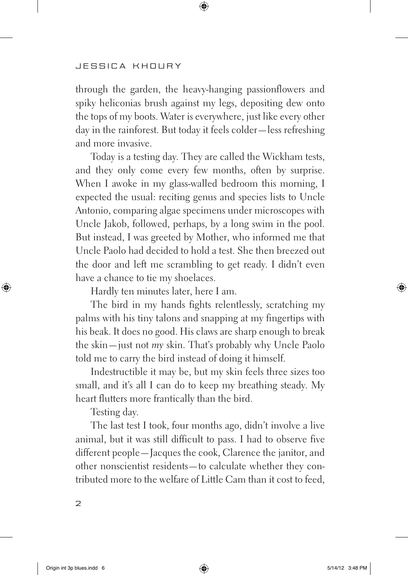### **JESSICA KHOURY**

through the garden, the heavy-hanging passionflowers and spiky heliconias brush against my legs, depositing dew onto the tops of my boots. Water is everywhere, just like every other day in the rainforest. But today it feels colder—less refreshing and more invasive.

Today is a testing day. They are called the Wickham tests, and they only come every few months, often by surprise. When I awoke in my glass-walled bedroom this morning, I expected the usual: reciting genus and species lists to Uncle Antonio, comparing algae specimens under microscopes with Uncle Jakob, followed, perhaps, by a long swim in the pool. But instead, I was greeted by Mother, who informed me that Uncle Paolo had decided to hold a test. She then breezed out the door and left me scrambling to get ready. I didn't even have a chance to tie my shoelaces.

Hardly ten minutes later, here I am.

The bird in my hands fights relentlessly, scratching my palms with his tiny talons and snapping at my fingertips with his beak. It does no good. His claws are sharp enough to break the skin—just not *my* skin. That's probably why Uncle Paolo told me to carry the bird instead of doing it himself.

Indestructible it may be, but my skin feels three sizes too small, and it's all I can do to keep my breathing steady. My heart flutters more frantically than the bird.

Testing day.

The last test I took, four months ago, didn't involve a live animal, but it was still difficult to pass. I had to observe five different people—Jacques the cook, Clarence the janitor, and other nonscientist residents—to calculate whether they contributed more to the welfare of Little Cam than it cost to feed,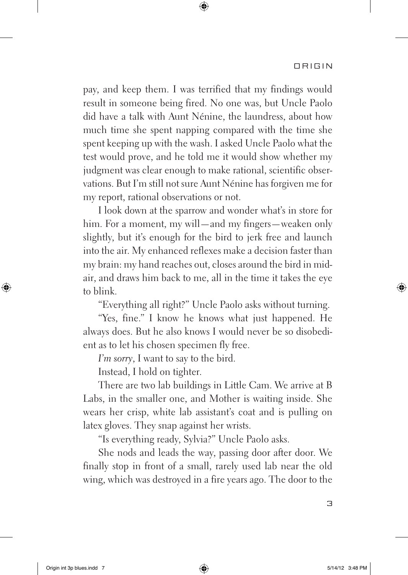pay, and keep them. I was terrified that my findings would result in someone being fired. No one was, but Uncle Paolo did have a talk with Aunt Nénine, the laundress, about how much time she spent napping compared with the time she spent keeping up with the wash. I asked Uncle Paolo what the test would prove, and he told me it would show whether my judgment was clear enough to make rational, scientific observations. But I'm still not sure Aunt Nénine has forgiven me for my report, rational observations or not.

I look down at the sparrow and wonder what's in store for him. For a moment, my will—and my fingers—weaken only slightly, but it's enough for the bird to jerk free and launch into the air. My enhanced reflexes make a decision faster than my brain: my hand reaches out, closes around the bird in midair, and draws him back to me, all in the time it takes the eye to blink.

"Everything all right?" Uncle Paolo asks without turning.

"Yes, fine." I know he knows what just happened. He always does. But he also knows I would never be so disobedient as to let his chosen specimen fly free.

*I'm sorry*, I want to say to the bird.

Instead, I hold on tighter.

There are two lab buildings in Little Cam. We arrive at B Labs, in the smaller one, and Mother is waiting inside. She wears her crisp, white lab assistant's coat and is pulling on latex gloves. They snap against her wrists.

"Is everything ready, Sylvia?" Uncle Paolo asks.

She nods and leads the way, passing door after door. We finally stop in front of a small, rarely used lab near the old wing, which was destroyed in a fire years ago. The door to the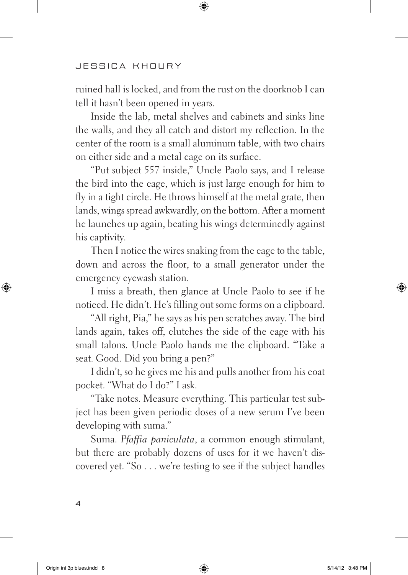ruined hall is locked, and from the rust on the doorknob I can tell it hasn't been opened in years.

Inside the lab, metal shelves and cabinets and sinks line the walls, and they all catch and distort my reflection. In the center of the room is a small aluminum table, with two chairs on either side and a metal cage on its surface.

"Put subject 557 inside," Uncle Paolo says, and I release the bird into the cage, which is just large enough for him to fly in a tight circle. He throws himself at the metal grate, then lands, wings spread awkwardly, on the bottom. After a moment he launches up again, beating his wings determinedly against his captivity.

Then I notice the wires snaking from the cage to the table, down and across the floor, to a small generator under the emergency eyewash station.

I miss a breath, then glance at Uncle Paolo to see if he noticed. He didn't. He's filling out some forms on a clipboard.

"All right, Pia," he says as his pen scratches away. The bird lands again, takes off, clutches the side of the cage with his small talons. Uncle Paolo hands me the clipboard. "Take a seat. Good. Did you bring a pen?"

I didn't, so he gives me his and pulls another from his coat pocket. "What do I do?" I ask.

"Take notes. Measure everything. This particular test subject has been given periodic doses of a new serum I've been developing with suma."

Suma. *Pfaffia paniculata*, a common enough stimulant, but there are probably dozens of uses for it we haven't discovered yet. "So . . . we're testing to see if the subject handles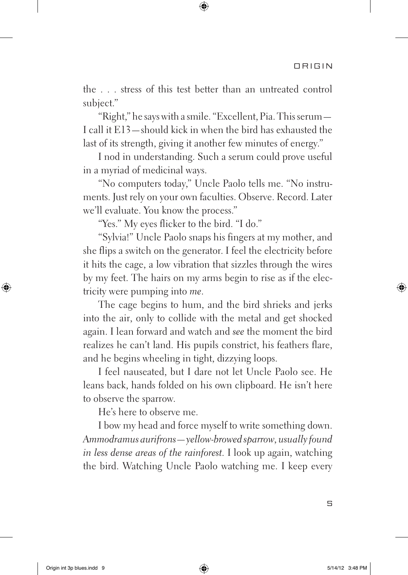the . . . stress of this test better than an untreated control subject."

"Right," he says with a smile. "Excellent, Pia. This serum— I call it E13—should kick in when the bird has exhausted the last of its strength, giving it another few minutes of energy."

I nod in understanding. Such a serum could prove useful in a myriad of medicinal ways.

"No computers today," Uncle Paolo tells me. "No instruments. Just rely on your own faculties. Observe. Record. Later we'll evaluate. You know the process."

"Yes." My eyes flicker to the bird. "I do."

"Sylvia!" Uncle Paolo snaps his fingers at my mother, and she flips a switch on the generator. I feel the electricity before it hits the cage, a low vibration that sizzles through the wires by my feet. The hairs on my arms begin to rise as if the electricity were pumping into *me*.

The cage begins to hum, and the bird shrieks and jerks into the air, only to collide with the metal and get shocked again. I lean forward and watch and *see* the moment the bird realizes he can't land. His pupils constrict, his feathers flare, and he begins wheeling in tight, dizzying loops.

I feel nauseated, but I dare not let Uncle Paolo see. He leans back, hands folded on his own clipboard. He isn't here to observe the sparrow.

He's here to observe me.

I bow my head and force myself to write something down. *Ammodramus aurifrons—yellow-browed sparrow, usually found in less dense areas of the rainforest.* I look up again, watching the bird. Watching Uncle Paolo watching me. I keep every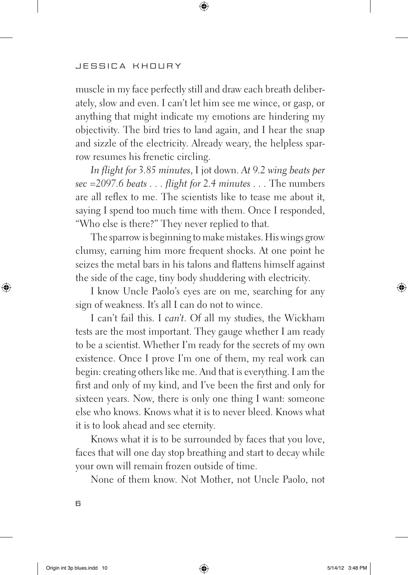muscle in my face perfectly still and draw each breath deliberately, slow and even. I can't let him see me wince, or gasp, or anything that might indicate my emotions are hindering my objectivity. The bird tries to land again, and I hear the snap and sizzle of the electricity. Already weary, the helpless sparrow resumes his frenetic circling.

*In flight for 3.85 minutes*, I jot down. *At 9.2 wing beats per sec =2097.6 beats . . . flight for 2.4 minutes . . .* The numbers are all reflex to me. The scientists like to tease me about it, saying I spend too much time with them. Once I responded, "Who else is there?" They never replied to that.

The sparrow is beginning to make mistakes. His wings grow clumsy, earning him more frequent shocks. At one point he seizes the metal bars in his talons and flattens himself against the side of the cage, tiny body shuddering with electricity.

I know Uncle Paolo's eyes are on me, searching for any sign of weakness. It's all I can do not to wince.

I can't fail this. I *can't*. Of all my studies, the Wickham tests are the most important. They gauge whether I am ready to be a scientist. Whether I'm ready for the secrets of my own existence. Once I prove I'm one of them, my real work can begin: creating others like me. And that is everything. I am the first and only of my kind, and I've been the first and only for sixteen years. Now, there is only one thing I want: someone else who knows. Knows what it is to never bleed. Knows what it is to look ahead and see eternity.

Knows what it is to be surrounded by faces that you love, faces that will one day stop breathing and start to decay while your own will remain frozen outside of time.

None of them know. Not Mother, not Uncle Paolo, not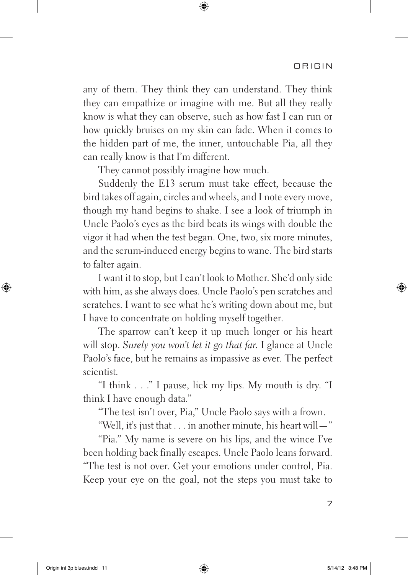any of them. They think they can understand. They think they can empathize or imagine with me. But all they really know is what they can observe, such as how fast I can run or how quickly bruises on my skin can fade. When it comes to the hidden part of me, the inner, untouchable Pia, all they can really know is that I'm different.

They cannot possibly imagine how much.

Suddenly the E13 serum must take effect, because the bird takes off again, circles and wheels, and I note every move, though my hand begins to shake. I see a look of triumph in Uncle Paolo's eyes as the bird beats its wings with double the vigor it had when the test began. One, two, six more minutes, and the serum-induced energy begins to wane. The bird starts to falter again.

I want it to stop, but I can't look to Mother. She'd only side with him, as she always does. Uncle Paolo's pen scratches and scratches. I want to see what he's writing down about me, but I have to concentrate on holding myself together.

The sparrow can't keep it up much longer or his heart will stop. *Surely you won't let it go that far.* I glance at Uncle Paolo's face, but he remains as impassive as ever. The perfect scientist.

"I think . . ." I pause, lick my lips. My mouth is dry. "I think I have enough data."

"The test isn't over, Pia," Uncle Paolo says with a frown.

"Well, it's just that . . . in another minute, his heart will—"

"Pia." My name is severe on his lips, and the wince I've been holding back finally escapes. Uncle Paolo leans forward. "The test is not over. Get your emotions under control, Pia. Keep your eye on the goal, not the steps you must take to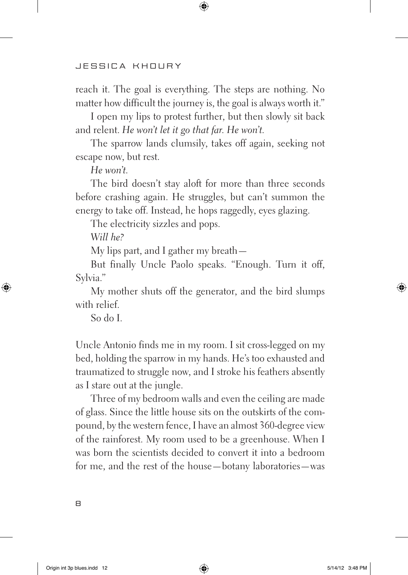reach it. The goal is everything. The steps are nothing. No matter how difficult the journey is, the goal is always worth it."

I open my lips to protest further, but then slowly sit back and relent. *He won't let it go that far. He won't.*

The sparrow lands clumsily, takes off again, seeking not escape now, but rest.

*He won't.*

The bird doesn't stay aloft for more than three seconds before crashing again. He struggles, but can't summon the energy to take off. Instead, he hops raggedly, eyes glazing.

The electricity sizzles and pops.

*Will he?*

My lips part, and I gather my breath—

But finally Uncle Paolo speaks. "Enough. Turn it off, Sylvia."

My mother shuts off the generator, and the bird slumps with relief.

So do I.

Uncle Antonio finds me in my room. I sit cross-legged on my bed, holding the sparrow in my hands. He's too exhausted and traumatized to struggle now, and I stroke his feathers absently as I stare out at the jungle.

Three of my bedroom walls and even the ceiling are made of glass. Since the little house sits on the outskirts of the compound, by the western fence, I have an almost 360-degree view of the rainforest. My room used to be a greenhouse. When I was born the scientists decided to convert it into a bedroom for me, and the rest of the house—botany laboratories—was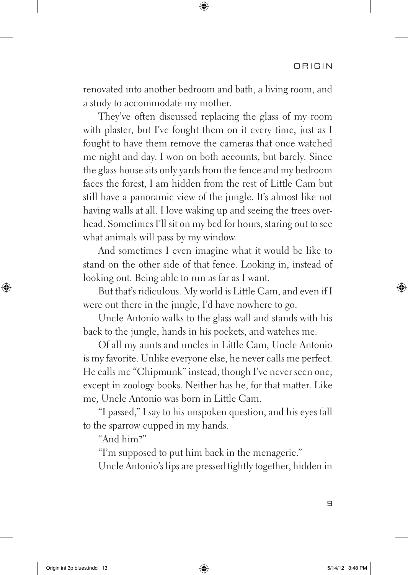renovated into another bedroom and bath, a living room, and a study to accommodate my mother.

They've often discussed replacing the glass of my room with plaster, but I've fought them on it every time, just as I fought to have them remove the cameras that once watched me night and day. I won on both accounts, but barely. Since the glass house sits only yards from the fence and my bedroom faces the forest, I am hidden from the rest of Little Cam but still have a panoramic view of the jungle. It's almost like not having walls at all. I love waking up and seeing the trees overhead. Sometimes I'll sit on my bed for hours, staring out to see what animals will pass by my window.

And sometimes I even imagine what it would be like to stand on the other side of that fence. Looking in, instead of looking out. Being able to run as far as I want.

But that's ridiculous. My world is Little Cam, and even if I were out there in the jungle, I'd have nowhere to go.

Uncle Antonio walks to the glass wall and stands with his back to the jungle, hands in his pockets, and watches me.

Of all my aunts and uncles in Little Cam, Uncle Antonio is my favorite. Unlike everyone else, he never calls me perfect. He calls me "Chipmunk" instead, though I've never seen one, except in zoology books. Neither has he, for that matter. Like me, Uncle Antonio was born in Little Cam.

"I passed," I say to his unspoken question, and his eyes fall to the sparrow cupped in my hands.

"And him?"

"I'm supposed to put him back in the menagerie."

Uncle Antonio's lips are pressed tightly together, hidden in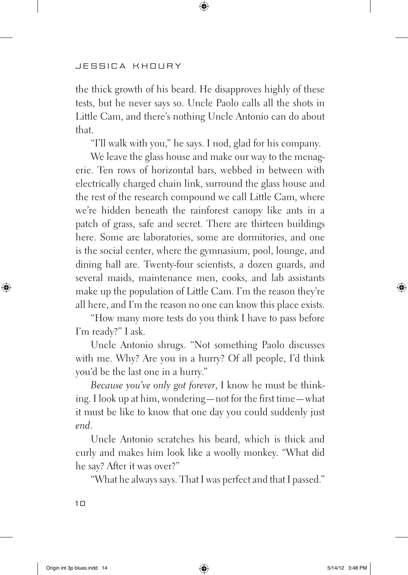the thick growth of his beard. He disapproves highly of these tests, but he never says so. Uncle Paolo calls all the shots in Little Cam, and there's nothing Uncle Antonio can do about that.

"I'll walk with you," he says. I nod, glad for his company.

We leave the glass house and make our way to the menagerie. Ten rows of horizontal bars, webbed in between with electrically charged chain link, surround the glass house and the rest of the research compound we call Little Cam, where we're hidden beneath the rainforest canopy like ants in a patch of grass, safe and secret. There are thirteen buildings here. Some are laboratories, some are dormitories, and one is the social center, where the gymnasium, pool, lounge, and dining hall are. Twenty-four scientists, a dozen guards, and several maids, maintenance men, cooks, and lab assistants make up the population of Little Cam. I'm the reason they're all here, and I'm the reason no one can know this place exists.

"How many more tests do you think I have to pass before I'm ready?" I ask.

Uncle Antonio shrugs. "Not something Paolo discusses with me. Why? Are you in a hurry? Of all people, I'd think you'd be the last one in a hurry."

*Because you've only got forever*, I know he must be thinking. I look up at him, wondering—not for the first time—what it must be like to know that one day you could suddenly just *end*.

Uncle Antonio scratches his beard, which is thick and curly and makes him look like a woolly monkey. "What did he say? After it was over?"

"What he always says. That I was perfect and that I passed."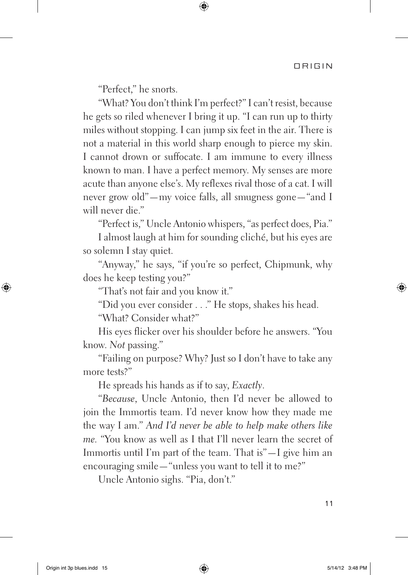"Perfect," he snorts.

"What? You don't think I'm perfect?" I can't resist, because he gets so riled whenever I bring it up. "I can run up to thirty miles without stopping. I can jump six feet in the air. There is not a material in this world sharp enough to pierce my skin. I cannot drown or suffocate. I am immune to every illness known to man. I have a perfect memory. My senses are more acute than anyone else's. My reflexes rival those of a cat. I will never grow old"—my voice falls, all smugness gone—"and I will never die."

"Perfect is," Uncle Antonio whispers, "as perfect does, Pia."

I almost laugh at him for sounding cliché, but his eyes are so solemn I stay quiet.

"Anyway," he says, "if you're so perfect, Chipmunk, why does he keep testing you?"

"That's not fair and you know it."

"Did you ever consider . . ." He stops, shakes his head.

"What? Consider what?"

His eyes flicker over his shoulder before he answers. "You know. *Not* passing."

"Failing on purpose? Why? Just so I don't have to take any more tests?"

He spreads his hands as if to say, *Exactly*.

"*Because*, Uncle Antonio, then I'd never be allowed to join the Immortis team. I'd never know how they made me the way I am." *And I'd never be able to help make others like me.* "You know as well as I that I'll never learn the secret of Immortis until I'm part of the team. That is"—I give him an encouraging smile—"unless you want to tell it to me?"

Uncle Antonio sighs. "Pia, don't."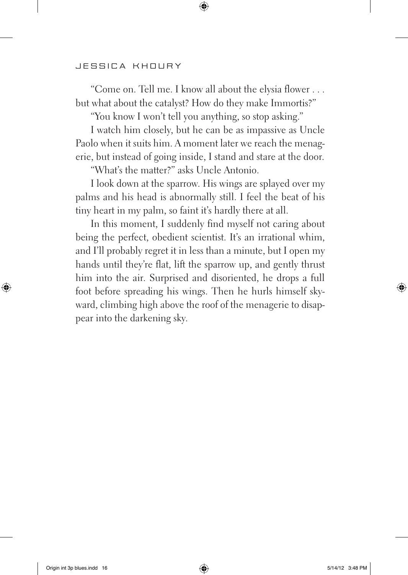### **JESSICA KHOURY**

"Come on. Tell me. I know all about the elysia flower . . . but what about the catalyst? How do they make Immortis?"

"You know I won't tell you anything, so stop asking."

I watch him closely, but he can be as impassive as Uncle Paolo when it suits him. A moment later we reach the menagerie, but instead of going inside, I stand and stare at the door.

"What's the matter?" asks Uncle Antonio.

I look down at the sparrow. His wings are splayed over my palms and his head is abnormally still. I feel the beat of his tiny heart in my palm, so faint it's hardly there at all.

In this moment, I suddenly find myself not caring about being the perfect, obedient scientist. It's an irrational whim, and I'll probably regret it in less than a minute, but I open my hands until they're flat, lift the sparrow up, and gently thrust him into the air. Surprised and disoriented, he drops a full foot before spreading his wings. Then he hurls himself skyward, climbing high above the roof of the menagerie to disappear into the darkening sky.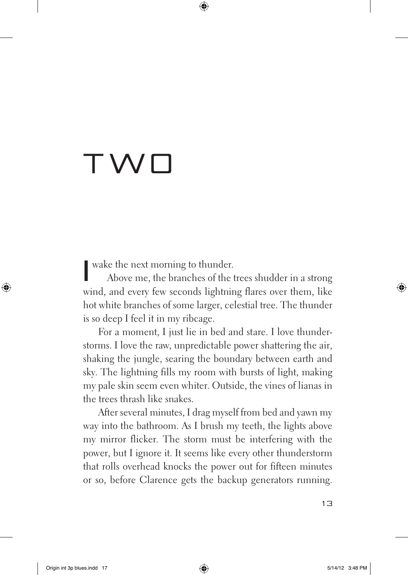# **two**

I wake the next morning to thunder.

Above me, the branches of the trees shudder in a strong wind, and every few seconds lightning flares over them, like hot white branches of some larger, celestial tree. The thunder is so deep I feel it in my ribcage.

For a moment, I just lie in bed and stare. I love thunderstorms. I love the raw, unpredictable power shattering the air, shaking the jungle, searing the boundary between earth and sky. The lightning fills my room with bursts of light, making my pale skin seem even whiter. Outside, the vines of lianas in the trees thrash like snakes.

After several minutes, I drag myself from bed and yawn my way into the bathroom. As I brush my teeth, the lights above my mirror flicker. The storm must be interfering with the power, but I ignore it. It seems like every other thunderstorm that rolls overhead knocks the power out for fifteen minutes or so, before Clarence gets the backup generators running.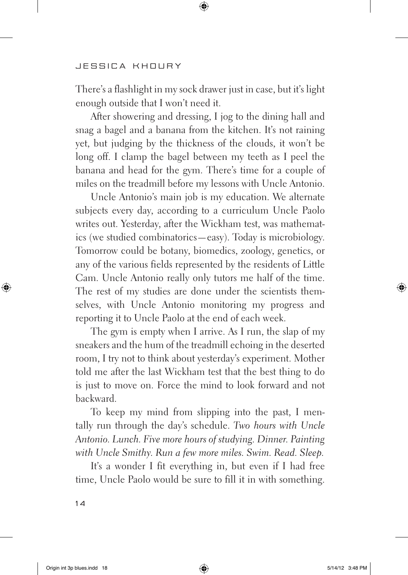### **JESSICA KHOURY**

There's a flashlight in my sock drawer just in case, but it's light enough outside that I won't need it.

After showering and dressing, I jog to the dining hall and snag a bagel and a banana from the kitchen. It's not raining yet, but judging by the thickness of the clouds, it won't be long off. I clamp the bagel between my teeth as I peel the banana and head for the gym. There's time for a couple of miles on the treadmill before my lessons with Uncle Antonio.

Uncle Antonio's main job is my education. We alternate subjects every day, according to a curriculum Uncle Paolo writes out. Yesterday, after the Wickham test, was mathematics (we studied combinatorics—easy). Today is microbiology. Tomorrow could be botany, biomedics, zoology, genetics, or any of the various fields represented by the residents of Little Cam. Uncle Antonio really only tutors me half of the time. The rest of my studies are done under the scientists themselves, with Uncle Antonio monitoring my progress and reporting it to Uncle Paolo at the end of each week.

The gym is empty when I arrive. As I run, the slap of my sneakers and the hum of the treadmill echoing in the deserted room, I try not to think about yesterday's experiment. Mother told me after the last Wickham test that the best thing to do is just to move on. Force the mind to look forward and not backward.

To keep my mind from slipping into the past, I mentally run through the day's schedule. *Two hours with Uncle Antonio. Lunch. Five more hours of studying. Dinner. Painting with Uncle Smithy. Run a few more miles. Swim. Read. Sleep.*

It's a wonder I fit everything in, but even if I had free time, Uncle Paolo would be sure to fill it in with something.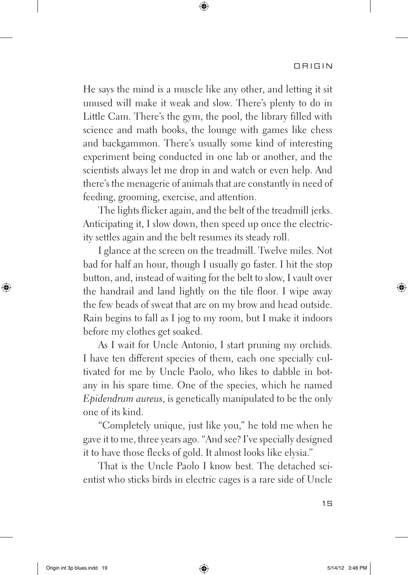He says the mind is a muscle like any other, and letting it sit unused will make it weak and slow. There's plenty to do in Little Cam. There's the gym, the pool, the library filled with science and math books, the lounge with games like chess and backgammon. There's usually some kind of interesting experiment being conducted in one lab or another, and the scientists always let me drop in and watch or even help. And there's the menagerie of animals that are constantly in need of feeding, grooming, exercise, and attention.

The lights flicker again, and the belt of the treadmill jerks. Anticipating it, I slow down, then speed up once the electricity settles again and the belt resumes its steady roll.

I glance at the screen on the treadmill. Twelve miles. Not bad for half an hour, though I usually go faster. I hit the stop button, and, instead of waiting for the belt to slow, I vault over the handrail and land lightly on the tile floor. I wipe away the few beads of sweat that are on my brow and head outside. Rain begins to fall as I jog to my room, but I make it indoors before my clothes get soaked.

As I wait for Uncle Antonio, I start pruning my orchids. I have ten different species of them, each one specially cultivated for me by Uncle Paolo, who likes to dabble in botany in his spare time. One of the species, which he named *Epidendrum aureus*, is genetically manipulated to be the only one of its kind.

"Completely unique, just like you," he told me when he gave it to me, three years ago. "And see? I've specially designed it to have those flecks of gold. It almost looks like elysia."

That is the Uncle Paolo I know best. The detached scientist who sticks birds in electric cages is a rare side of Uncle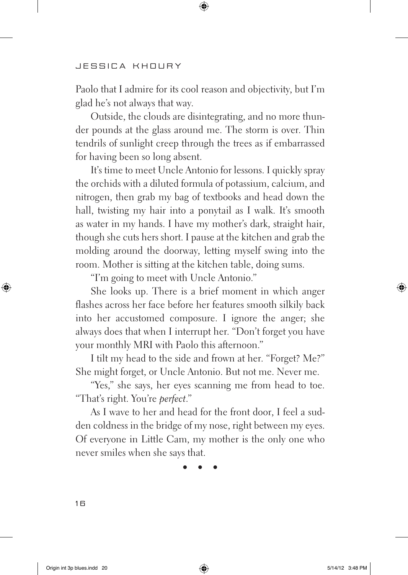### **JESSICA KHOURY**

Paolo that I admire for its cool reason and objectivity, but I'm glad he's not always that way.

Outside, the clouds are disintegrating, and no more thunder pounds at the glass around me. The storm is over. Thin tendrils of sunlight creep through the trees as if embarrassed for having been so long absent.

It's time to meet Uncle Antonio for lessons. I quickly spray the orchids with a diluted formula of potassium, calcium, and nitrogen, then grab my bag of textbooks and head down the hall, twisting my hair into a ponytail as I walk. It's smooth as water in my hands. I have my mother's dark, straight hair, though she cuts hers short. I pause at the kitchen and grab the molding around the doorway, letting myself swing into the room. Mother is sitting at the kitchen table, doing sums.

"I'm going to meet with Uncle Antonio."

She looks up. There is a brief moment in which anger flashes across her face before her features smooth silkily back into her accustomed composure. I ignore the anger; she always does that when I interrupt her. "Don't forget you have your monthly MRI with Paolo this afternoon."

I tilt my head to the side and frown at her. "Forget? Me?" She might forget, or Uncle Antonio. But not me. Never me.

"Yes," she says, her eyes scanning me from head to toe. "That's right. You're *perfect*."

As I wave to her and head for the front door, I feel a sudden coldness in the bridge of my nose, right between my eyes. Of everyone in Little Cam, my mother is the only one who never smiles when she says that.

•••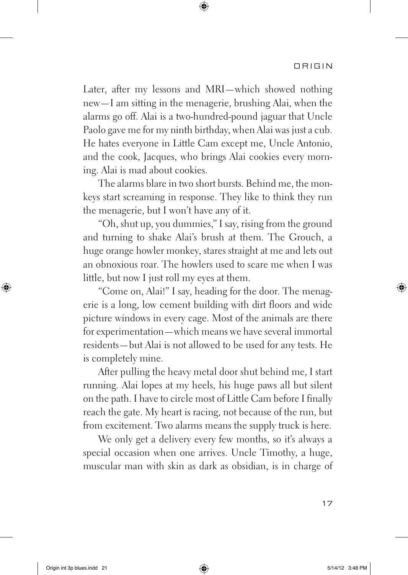Later, after my lessons and MRI—which showed nothing new—I am sitting in the menagerie, brushing Alai, when the alarms go off. Alai is a two-hundred-pound jaguar that Uncle Paolo gave me for my ninth birthday, when Alai was just a cub. He hates everyone in Little Cam except me, Uncle Antonio, and the cook, Jacques, who brings Alai cookies every morning. Alai is mad about cookies.

The alarms blare in two short bursts. Behind me, the monkeys start screaming in response. They like to think they run the menagerie, but I won't have any of it.

"Oh, shut up, you dummies," I say, rising from the ground and turning to shake Alai's brush at them. The Grouch, a huge orange howler monkey, stares straight at me and lets out an obnoxious roar. The howlers used to scare me when I was little, but now I just roll my eyes at them.

"Come on, Alai!" I say, heading for the door. The menagerie is a long, low cement building with dirt floors and wide picture windows in every cage. Most of the animals are there for experimentation—which means we have several immortal residents—but Alai is not allowed to be used for any tests. He is completely mine.

After pulling the heavy metal door shut behind me, I start running. Alai lopes at my heels, his huge paws all but silent on the path. I have to circle most of Little Cam before I finally reach the gate. My heart is racing, not because of the run, but from excitement. Two alarms means the supply truck is here.

We only get a delivery every few months, so it's always a special occasion when one arrives. Uncle Timothy, a huge, muscular man with skin as dark as obsidian, is in charge of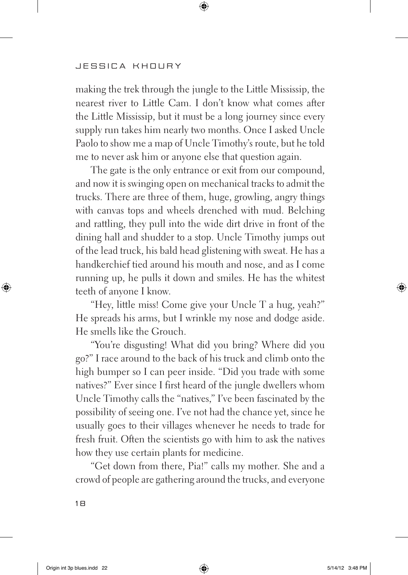making the trek through the jungle to the Little Mississip, the nearest river to Little Cam. I don't know what comes after the Little Mississip, but it must be a long journey since every supply run takes him nearly two months. Once I asked Uncle Paolo to show me a map of Uncle Timothy's route, but he told me to never ask him or anyone else that question again.

The gate is the only entrance or exit from our compound, and now it is swinging open on mechanical tracks to admit the trucks. There are three of them, huge, growling, angry things with canvas tops and wheels drenched with mud. Belching and rattling, they pull into the wide dirt drive in front of the dining hall and shudder to a stop. Uncle Timothy jumps out of the lead truck, his bald head glistening with sweat. He has a handkerchief tied around his mouth and nose, and as I come running up, he pulls it down and smiles. He has the whitest teeth of anyone I know.

"Hey, little miss! Come give your Uncle T a hug, yeah?" He spreads his arms, but I wrinkle my nose and dodge aside. He smells like the Grouch.

"You're disgusting! What did you bring? Where did you go?" I race around to the back of his truck and climb onto the high bumper so I can peer inside. "Did you trade with some natives?" Ever since I first heard of the jungle dwellers whom Uncle Timothy calls the "natives," I've been fascinated by the possibility of seeing one. I've not had the chance yet, since he usually goes to their villages whenever he needs to trade for fresh fruit. Often the scientists go with him to ask the natives how they use certain plants for medicine.

"Get down from there, Pia!" calls my mother. She and a crowd of people are gathering around the trucks, and everyone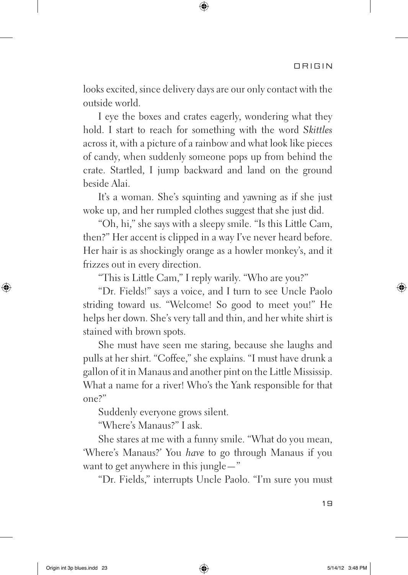looks excited, since delivery days are our only contact with the outside world.

I eye the boxes and crates eagerly, wondering what they hold. I start to reach for something with the word *Skittles* across it, with a picture of a rainbow and what look like pieces of candy, when suddenly someone pops up from behind the crate. Startled, I jump backward and land on the ground beside Alai.

It's a woman. She's squinting and yawning as if she just woke up, and her rumpled clothes suggest that she just did.

"Oh, hi," she says with a sleepy smile. "Is this Little Cam, then?" Her accent is clipped in a way I've never heard before. Her hair is as shockingly orange as a howler monkey's, and it frizzes out in every direction.

"This is Little Cam," I reply warily. "Who are you?"

"Dr. Fields!" says a voice, and I turn to see Uncle Paolo striding toward us. "Welcome! So good to meet you!" He helps her down. She's very tall and thin, and her white shirt is stained with brown spots.

She must have seen me staring, because she laughs and pulls at her shirt. "Coffee," she explains. "I must have drunk a gallon of it in Manaus and another pint on the Little Mississip. What a name for a river! Who's the Yank responsible for that one?"

Suddenly everyone grows silent.

"Where's Manaus?" I ask.

She stares at me with a funny smile. "What do you mean, 'Where's Manaus?' You *have* to go through Manaus if you want to get anywhere in this jungle—"

"Dr. Fields," interrupts Uncle Paolo. "I'm sure you must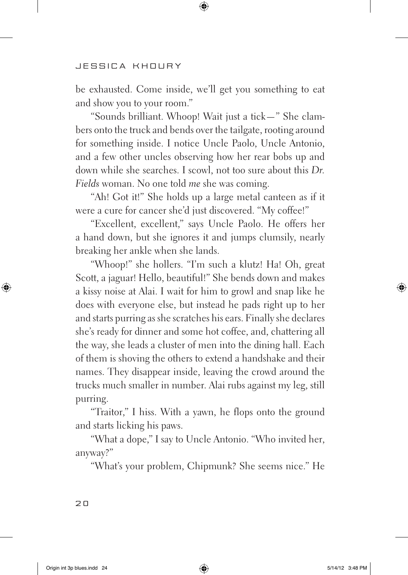be exhausted. Come inside, we'll get you something to eat and show you to your room."

"Sounds brilliant. Whoop! Wait just a tick—" She clambers onto the truck and bends over the tailgate, rooting around for something inside. I notice Uncle Paolo, Uncle Antonio, and a few other uncles observing how her rear bobs up and down while she searches. I scowl, not too sure about this *Dr. Fields* woman. No one told *me* she was coming.

"Ah! Got it!" She holds up a large metal canteen as if it were a cure for cancer she'd just discovered. "My coffee!"

"Excellent, excellent," says Uncle Paolo. He offers her a hand down, but she ignores it and jumps clumsily, nearly breaking her ankle when she lands.

"Whoop!" she hollers. "I'm such a klutz! Ha! Oh, great Scott, a jaguar! Hello, beautiful!" She bends down and makes a kissy noise at Alai. I wait for him to growl and snap like he does with everyone else, but instead he pads right up to her and starts purring as she scratches his ears. Finally she declares she's ready for dinner and some hot coffee, and, chattering all the way, she leads a cluster of men into the dining hall. Each of them is shoving the others to extend a handshake and their names. They disappear inside, leaving the crowd around the trucks much smaller in number. Alai rubs against my leg, still purring.

"Traitor," I hiss. With a yawn, he flops onto the ground and starts licking his paws.

"What a dope," I say to Uncle Antonio. "Who invited her, anyway?"

"What's your problem, Chipmunk? She seems nice." He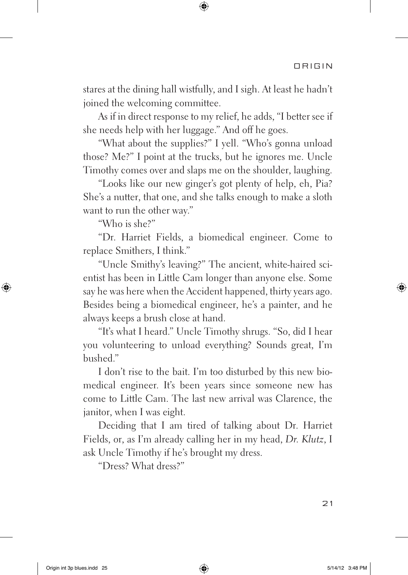stares at the dining hall wistfully, and I sigh. At least he hadn't joined the welcoming committee.

As if in direct response to my relief, he adds, "I better see if she needs help with her luggage." And off he goes.

"What about the supplies?" I yell. "Who's gonna unload those? Me?" I point at the trucks, but he ignores me. Uncle Timothy comes over and slaps me on the shoulder, laughing.

"Looks like our new ginger's got plenty of help, eh, Pia? She's a nutter, that one, and she talks enough to make a sloth want to run the other way."

"Who is she?"

"Dr. Harriet Fields, a biomedical engineer. Come to replace Smithers, I think."

"Uncle Smithy's leaving?" The ancient, white-haired scientist has been in Little Cam longer than anyone else. Some say he was here when the Accident happened, thirty years ago. Besides being a biomedical engineer, he's a painter, and he always keeps a brush close at hand.

"It's what I heard." Uncle Timothy shrugs. "So, did I hear you volunteering to unload everything? Sounds great, I'm bushed."

I don't rise to the bait. I'm too disturbed by this new biomedical engineer. It's been years since someone new has come to Little Cam. The last new arrival was Clarence, the janitor, when I was eight.

Deciding that I am tired of talking about Dr. Harriet Fields, or, as I'm already calling her in my head, *Dr. Klutz*, I ask Uncle Timothy if he's brought my dress.

"Dress? What dress?"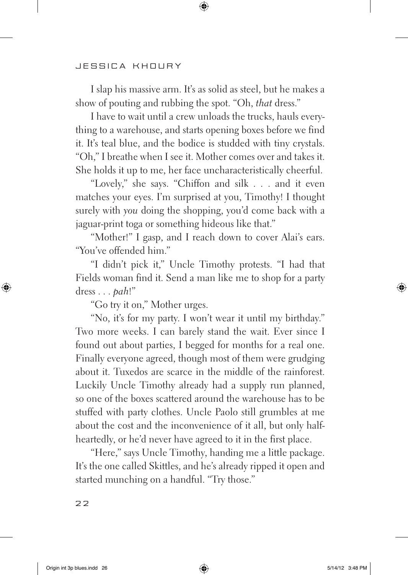### **JESSICA KHOURY**

I slap his massive arm. It's as solid as steel, but he makes a show of pouting and rubbing the spot. "Oh, *that* dress."

I have to wait until a crew unloads the trucks, hauls everything to a warehouse, and starts opening boxes before we find it. It's teal blue, and the bodice is studded with tiny crystals. "Oh," I breathe when I see it. Mother comes over and takes it. She holds it up to me, her face uncharacteristically cheerful.

"Lovely," she says. "Chiffon and silk . . . and it even matches your eyes. I'm surprised at you, Timothy! I thought surely with *you* doing the shopping, you'd come back with a jaguar-print toga or something hideous like that."

"Mother!" I gasp, and I reach down to cover Alai's ears. "You've offended him."

"I didn't pick it," Uncle Timothy protests. "I had that Fields woman find it. Send a man like me to shop for a party dress . . . *pah*!"

"Go try it on," Mother urges.

"No, it's for my party. I won't wear it until my birthday." Two more weeks. I can barely stand the wait. Ever since I found out about parties, I begged for months for a real one. Finally everyone agreed, though most of them were grudging about it. Tuxedos are scarce in the middle of the rainforest. Luckily Uncle Timothy already had a supply run planned, so one of the boxes scattered around the warehouse has to be stuffed with party clothes. Uncle Paolo still grumbles at me about the cost and the inconvenience of it all, but only halfheartedly, or he'd never have agreed to it in the first place.

"Here," says Uncle Timothy, handing me a little package. It's the one called Skittles, and he's already ripped it open and started munching on a handful. "Try those."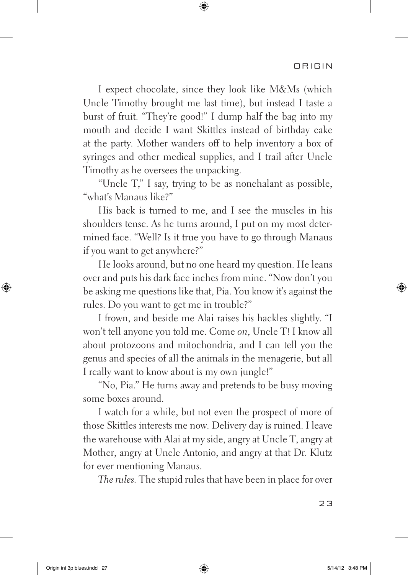I expect chocolate, since they look like M&Ms (which Uncle Timothy brought me last time), but instead I taste a burst of fruit. "They're good!" I dump half the bag into my mouth and decide I want Skittles instead of birthday cake at the party. Mother wanders off to help inventory a box of syringes and other medical supplies, and I trail after Uncle Timothy as he oversees the unpacking.

"Uncle T," I say, trying to be as nonchalant as possible, "what's Manaus like?"

His back is turned to me, and I see the muscles in his shoulders tense. As he turns around, I put on my most determined face. "Well? Is it true you have to go through Manaus if you want to get anywhere?"

He looks around, but no one heard my question. He leans over and puts his dark face inches from mine. "Now don't you be asking me questions like that, Pia. You know it's against the rules. Do you want to get me in trouble?"

I frown, and beside me Alai raises his hackles slightly. "I won't tell anyone you told me. Come *on*, Uncle T! I know all about protozoons and mitochondria, and I can tell you the genus and species of all the animals in the menagerie, but all I really want to know about is my own jungle!"

"No, Pia." He turns away and pretends to be busy moving some boxes around.

I watch for a while, but not even the prospect of more of those Skittles interests me now. Delivery day is ruined. I leave the warehouse with Alai at my side, angry at Uncle T, angry at Mother, angry at Uncle Antonio, and angry at that Dr. Klutz for ever mentioning Manaus.

*The rules.* The stupid rules that have been in place for over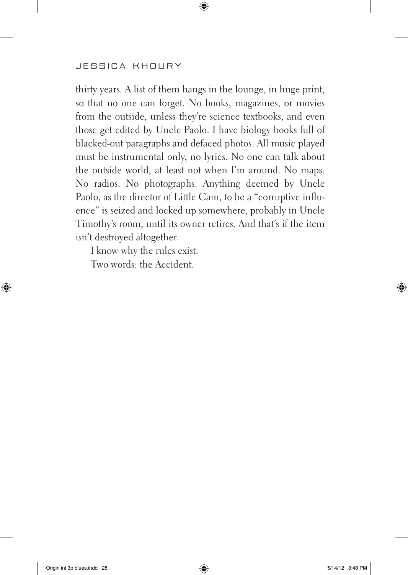### **JESSICA KHOURY**

thirty years. A list of them hangs in the lounge, in huge print, so that no one can forget. No books, magazines, or movies from the outside, unless they're science textbooks, and even those get edited by Uncle Paolo. I have biology books full of blacked-out paragraphs and defaced photos. All music played must be instrumental only, no lyrics. No one can talk about the outside world, at least not when I'm around. No maps. No radios. No photographs. Anything deemed by Uncle Paolo, as the director of Little Cam, to be a "corruptive influence" is seized and locked up somewhere, probably in Uncle Timothy's room, until its owner retires. And that's if the item isn't destroyed altogether.

I know why the rules exist. Two words: the Accident.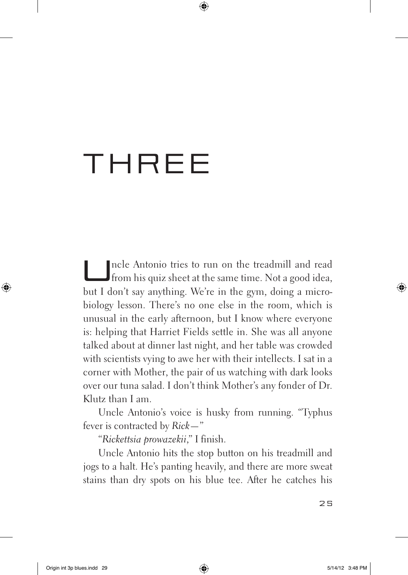## **t hree**

Uncle Antonio tries to run on the treadmill and read from his quiz sheet at the same time. Not a good idea, but I don't say anything. We're in the gym, doing a microbiology lesson. There's no one else in the room, which is unusual in the early afternoon, but I know where everyone is: helping that Harriet Fields settle in. She was all anyone talked about at dinner last night, and her table was crowded with scientists vying to awe her with their intellects. I sat in a corner with Mother, the pair of us watching with dark looks over our tuna salad. I don't think Mother's any fonder of Dr. Klutz than I am.

Uncle Antonio's voice is husky from running. "Typhus fever is contracted by *Rick*—"

"*Rickettsia prowazekii*," I finish.

Uncle Antonio hits the stop button on his treadmill and jogs to a halt. He's panting heavily, and there are more sweat stains than dry spots on his blue tee. After he catches his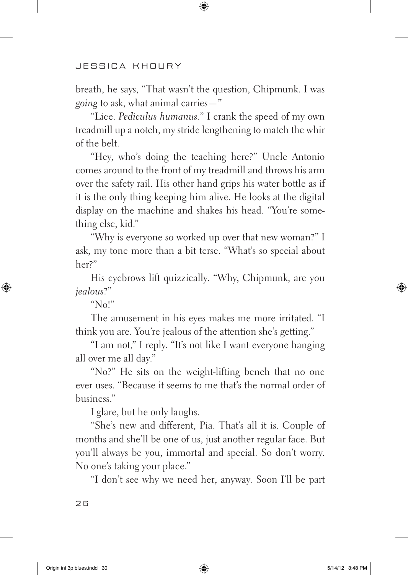breath, he says, "That wasn't the question, Chipmunk. I was *going* to ask, what animal carries—"

"Lice. *Pediculus humanus.*" I crank the speed of my own treadmill up a notch, my stride lengthening to match the whir of the belt.

"Hey, who's doing the teaching here?" Uncle Antonio comes around to the front of my treadmill and throws his arm over the safety rail. His other hand grips his water bottle as if it is the only thing keeping him alive. He looks at the digital display on the machine and shakes his head. "You're something else, kid."

"Why is everyone so worked up over that new woman?" I ask, my tone more than a bit terse. "What's so special about her?"

His eyebrows lift quizzically. "Why, Chipmunk, are you *jealous*?"

" $N<sub>0</sub>$ "

The amusement in his eyes makes me more irritated. "I think you are. You're jealous of the attention she's getting."

"I am not," I reply. "It's not like I want everyone hanging all over me all day."

"No?" He sits on the weight-lifting bench that no one ever uses. "Because it seems to me that's the normal order of business."

I glare, but he only laughs.

"She's new and different, Pia. That's all it is. Couple of months and she'll be one of us, just another regular face. But you'll always be you, immortal and special. So don't worry. No one's taking your place."

"I don't see why we need her, anyway. Soon I'll be part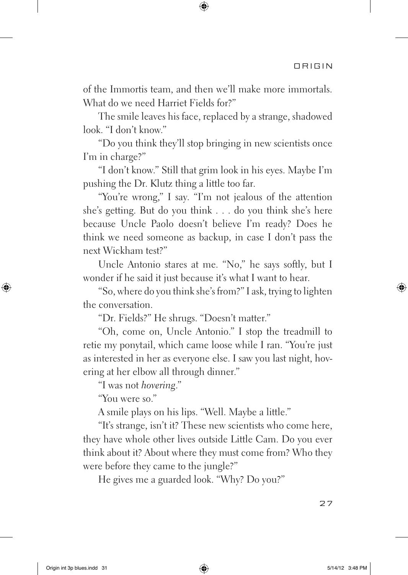of the Immortis team, and then we'll make more immortals. What do we need Harriet Fields for?"

The smile leaves his face, replaced by a strange, shadowed look. "I don't know."

"Do you think they'll stop bringing in new scientists once I'm in charge?"

"I don't know." Still that grim look in his eyes. Maybe I'm pushing the Dr. Klutz thing a little too far.

"You're wrong," I say. "I'm not jealous of the attention she's getting. But do you think . . . do you think she's here because Uncle Paolo doesn't believe I'm ready? Does he think we need someone as backup, in case I don't pass the next Wickham test?"

Uncle Antonio stares at me. "No," he says softly, but I wonder if he said it just because it's what I want to hear.

"So, where do you think she's from?" I ask, trying to lighten the conversation.

"Dr. Fields?" He shrugs. "Doesn't matter."

"Oh, come on, Uncle Antonio." I stop the treadmill to retie my ponytail, which came loose while I ran. "You're just as interested in her as everyone else. I saw you last night, hovering at her elbow all through dinner."

"I was not *hovering*."

"You were so."

A smile plays on his lips. "Well. Maybe a little."

"It's strange, isn't it? These new scientists who come here, they have whole other lives outside Little Cam. Do you ever think about it? About where they must come from? Who they were before they came to the jungle?"

He gives me a guarded look. "Why? Do you?"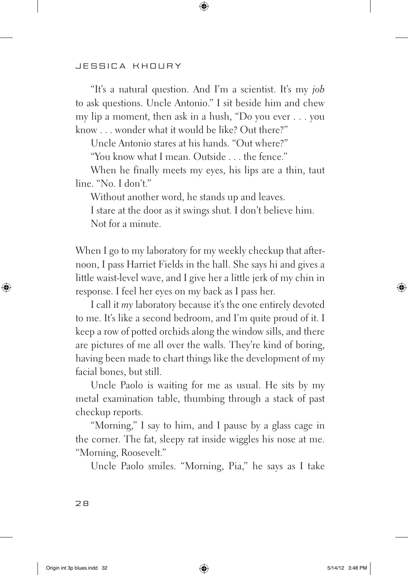"It's a natural question. And I'm a scientist. It's my *job* to ask questions. Uncle Antonio." I sit beside him and chew my lip a moment, then ask in a hush, "Do you ever . . . you know . . . wonder what it would be like? Out there?"

Uncle Antonio stares at his hands. "Out where?"

"You know what I mean. Outside . . . the fence."

When he finally meets my eyes, his lips are a thin, taut line. "No. I don't."

Without another word, he stands up and leaves.

I stare at the door as it swings shut. I don't believe him. Not for a minute.

When I go to my laboratory for my weekly checkup that afternoon, I pass Harriet Fields in the hall. She says hi and gives a little waist-level wave, and I give her a little jerk of my chin in response. I feel her eyes on my back as I pass her.

I call it *my* laboratory because it's the one entirely devoted to me. It's like a second bedroom, and I'm quite proud of it. I keep a row of potted orchids along the window sills, and there are pictures of me all over the walls. They're kind of boring, having been made to chart things like the development of my facial bones, but still.

Uncle Paolo is waiting for me as usual. He sits by my metal examination table, thumbing through a stack of past checkup reports.

"Morning," I say to him, and I pause by a glass cage in the corner. The fat, sleepy rat inside wiggles his nose at me. "Morning, Roosevelt."

Uncle Paolo smiles. "Morning, Pia," he says as I take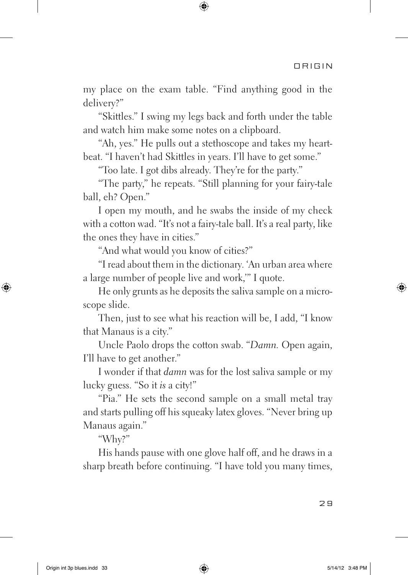my place on the exam table. "Find anything good in the delivery?"

"Skittles." I swing my legs back and forth under the table and watch him make some notes on a clipboard.

"Ah, yes." He pulls out a stethoscope and takes my heartbeat. "I haven't had Skittles in years. I'll have to get some."

"Too late. I got dibs already. They're for the party."

"The party," he repeats. "Still planning for your fairy-tale ball, eh? Open."

I open my mouth, and he swabs the inside of my check with a cotton wad. "It's not a fairy-tale ball. It's a real party, like the ones they have in cities."

"And what would you know of cities?"

"I read about them in the dictionary. 'An urban area where a large number of people live and work,'" I quote.

He only grunts as he deposits the saliva sample on a microscope slide.

Then, just to see what his reaction will be, I add, "I know that Manaus is a city."

Uncle Paolo drops the cotton swab. "*Damn.* Open again, I'll have to get another."

I wonder if that *damn* was for the lost saliva sample or my lucky guess. "So it *is* a city!"

"Pia." He sets the second sample on a small metal tray and starts pulling off his squeaky latex gloves. "Never bring up Manaus again."

"Why?"

His hands pause with one glove half off, and he draws in a sharp breath before continuing. "I have told you many times,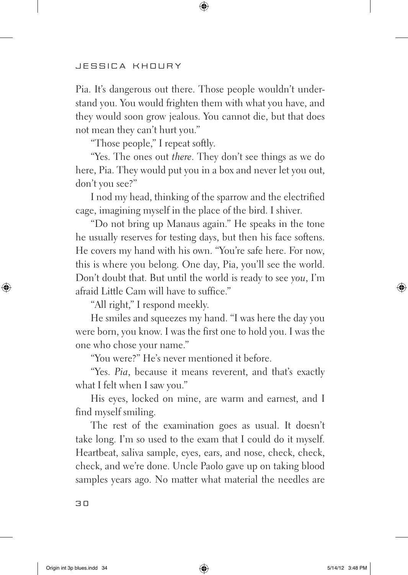Pia. It's dangerous out there. Those people wouldn't understand you. You would frighten them with what you have, and they would soon grow jealous. You cannot die, but that does not mean they can't hurt you."

"Those people," I repeat softly.

"Yes. The ones out *there*. They don't see things as we do here, Pia. They would put you in a box and never let you out, don't you see?"

I nod my head, thinking of the sparrow and the electrified cage, imagining myself in the place of the bird. I shiver.

"Do not bring up Manaus again." He speaks in the tone he usually reserves for testing days, but then his face softens. He covers my hand with his own. "You're safe here. For now, this is where you belong. One day, Pia, you'll see the world. Don't doubt that. But until the world is ready to see *you*, I'm afraid Little Cam will have to suffice."

"All right," I respond meekly.

He smiles and squeezes my hand. "I was here the day you were born, you know. I was the first one to hold you. I was the one who chose your name."

"You were?" He's never mentioned it before.

"Yes. *Pia*, because it means reverent, and that's exactly what I felt when I saw you."

His eyes, locked on mine, are warm and earnest, and I find myself smiling.

The rest of the examination goes as usual. It doesn't take long. I'm so used to the exam that I could do it myself. Heartbeat, saliva sample, eyes, ears, and nose, check, check, check, and we're done. Uncle Paolo gave up on taking blood samples years ago. No matter what material the needles are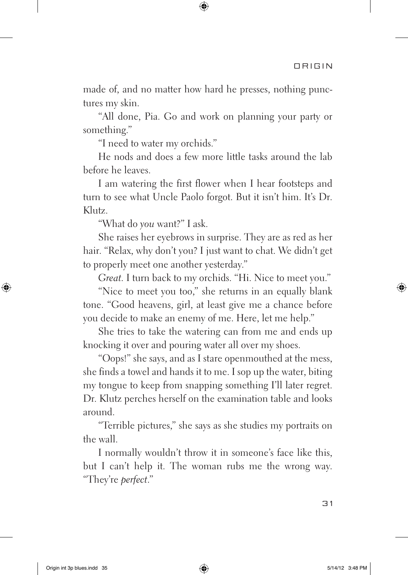made of, and no matter how hard he presses, nothing punctures my skin.

"All done, Pia. Go and work on planning your party or something."

"I need to water my orchids."

He nods and does a few more little tasks around the lab before he leaves.

I am watering the first flower when I hear footsteps and turn to see what Uncle Paolo forgot. But it isn't him. It's Dr. Klutz

"What do *you* want?" I ask.

She raises her eyebrows in surprise. They are as red as her hair. "Relax, why don't you? I just want to chat. We didn't get to properly meet one another yesterday."

*Great.* I turn back to my orchids. "Hi. Nice to meet you."

"Nice to meet you too," she returns in an equally blank tone. "Good heavens, girl, at least give me a chance before you decide to make an enemy of me. Here, let me help."

She tries to take the watering can from me and ends up knocking it over and pouring water all over my shoes.

"Oops!" she says, and as I stare openmouthed at the mess, she finds a towel and hands it to me. I sop up the water, biting my tongue to keep from snapping something I'll later regret. Dr. Klutz perches herself on the examination table and looks around.

"Terrible pictures," she says as she studies my portraits on the wall.

I normally wouldn't throw it in someone's face like this, but I can't help it. The woman rubs me the wrong way. "They're *perfect*."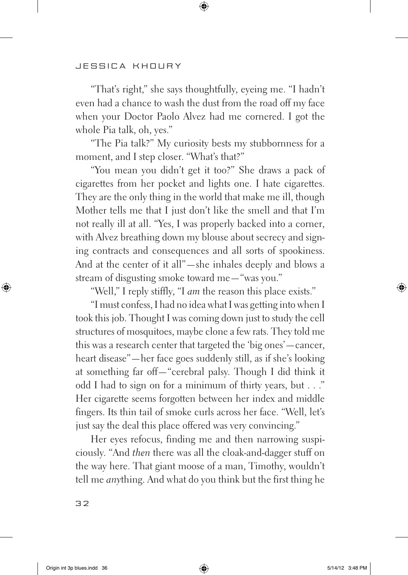"That's right," she says thoughtfully, eyeing me. "I hadn't even had a chance to wash the dust from the road off my face when your Doctor Paolo Alvez had me cornered. I got the whole Pia talk, oh, yes."

"The Pia talk?" My curiosity bests my stubbornness for a moment, and I step closer. "What's that?"

"You mean you didn't get it too?" She draws a pack of cigarettes from her pocket and lights one. I hate cigarettes. They are the only thing in the world that make me ill, though Mother tells me that I just don't like the smell and that I'm not really ill at all. "Yes, I was properly backed into a corner, with Alvez breathing down my blouse about secrecy and signing contracts and consequences and all sorts of spookiness. And at the center of it all"—she inhales deeply and blows a stream of disgusting smoke toward me—"was you."

"Well," I reply stiffly, "I *am* the reason this place exists."

"I must confess, I had no idea what I was getting into when I took this job. Thought I was coming down just to study the cell structures of mosquitoes, maybe clone a few rats. They told me this was a research center that targeted the 'big ones'—cancer, heart disease"—her face goes suddenly still, as if she's looking at something far off—"cerebral palsy. Though I did think it odd I had to sign on for a minimum of thirty years, but . . ." Her cigarette seems forgotten between her index and middle fingers. Its thin tail of smoke curls across her face. "Well, let's just say the deal this place offered was very convincing."

Her eyes refocus, finding me and then narrowing suspiciously. "And *then* there was all the cloak-and-dagger stuff on the way here. That giant moose of a man, Timothy, wouldn't tell me *any*thing. And what do you think but the first thing he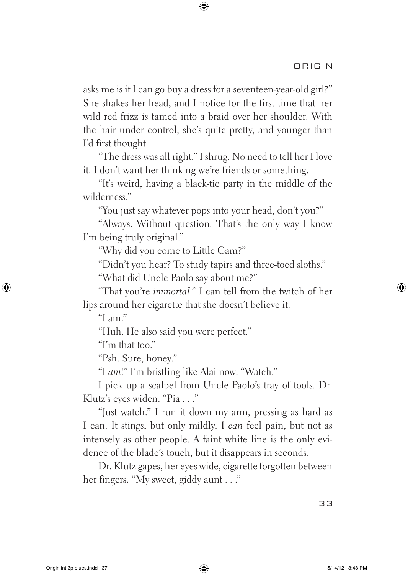asks me is if I can go buy a dress for a seventeen-year-old girl?" She shakes her head, and I notice for the first time that her wild red frizz is tamed into a braid over her shoulder. With the hair under control, she's quite pretty, and younger than I'd first thought.

"The dress was all right." I shrug. No need to tell her I love it. I don't want her thinking we're friends or something.

"It's weird, having a black-tie party in the middle of the wilderness."

"You just say whatever pops into your head, don't you?"

"Always. Without question. That's the only way I know I'm being truly original."

"Why did you come to Little Cam?"

"Didn't you hear? To study tapirs and three-toed sloths."

"What did Uncle Paolo say about me?"

"That you're *immortal*." I can tell from the twitch of her lips around her cigarette that she doesn't believe it.

"I am."

"Huh. He also said you were perfect."

"I'm that too."

"Psh. Sure, honey."

"I *am*!" I'm bristling like Alai now. "Watch."

I pick up a scalpel from Uncle Paolo's tray of tools. Dr. Klutz's eyes widen. "Pia . . ."

"Just watch." I run it down my arm, pressing as hard as I can. It stings, but only mildly. I *can* feel pain, but not as intensely as other people. A faint white line is the only evidence of the blade's touch, but it disappears in seconds.

Dr. Klutz gapes, her eyes wide, cigarette forgotten between her fingers. "My sweet, giddy aunt . . ."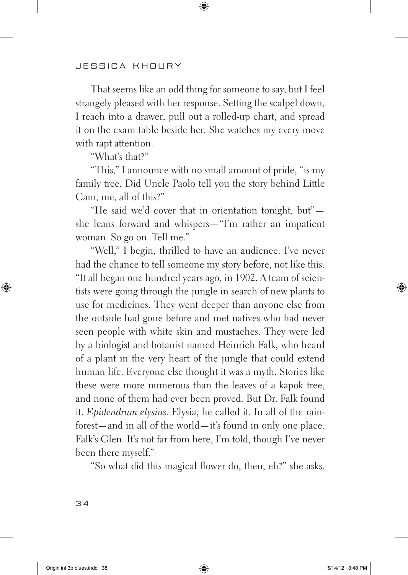### **JESSICA KHOURY**

That seems like an odd thing for someone to say, but I feel strangely pleased with her response. Setting the scalpel down, I reach into a drawer, pull out a rolled-up chart, and spread it on the exam table beside her. She watches my every move with rapt attention.

"What's that?"

"This," I announce with no small amount of pride, "is my family tree. Did Uncle Paolo tell you the story behind Little Cam, me, all of this?"

"He said we'd cover that in orientation tonight, but" she leans forward and whispers—"I'm rather an impatient woman. So go on. Tell me."

"Well," I begin, thrilled to have an audience. I've never had the chance to tell someone my story before, not like this. "It all began one hundred years ago, in 1902. A team of scientists were going through the jungle in search of new plants to use for medicines. They went deeper than anyone else from the outside had gone before and met natives who had never seen people with white skin and mustaches. They were led by a biologist and botanist named Heinrich Falk, who heard of a plant in the very heart of the jungle that could extend human life. Everyone else thought it was a myth. Stories like these were more numerous than the leaves of a kapok tree, and none of them had ever been proved. But Dr. Falk found it. *Epidendrum elysius.* Elysia, he called it. In all of the rainforest—and in all of the world—it's found in only one place. Falk's Glen. It's not far from here, I'm told, though I've never been there myself."

"So what did this magical flower do, then, eh?" she asks.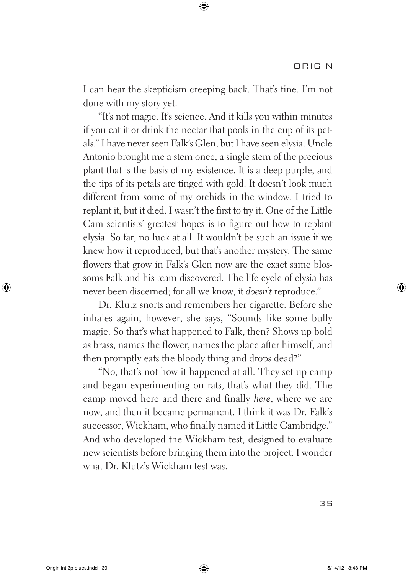I can hear the skepticism creeping back. That's fine. I'm not done with my story yet.

"It's not magic. It's science. And it kills you within minutes if you eat it or drink the nectar that pools in the cup of its petals." I have never seen Falk's Glen, but I have seen elysia. Uncle Antonio brought me a stem once, a single stem of the precious plant that is the basis of my existence. It is a deep purple, and the tips of its petals are tinged with gold. It doesn't look much different from some of my orchids in the window. I tried to replant it, but it died. I wasn't the first to try it. One of the Little Cam scientists' greatest hopes is to figure out how to replant elysia. So far, no luck at all. It wouldn't be such an issue if we knew how it reproduced, but that's another mystery. The same flowers that grow in Falk's Glen now are the exact same blossoms Falk and his team discovered. The life cycle of elysia has never been discerned; for all we know, it *doesn't* reproduce."

Dr. Klutz snorts and remembers her cigarette. Before she inhales again, however, she says, "Sounds like some bully magic. So that's what happened to Falk, then? Shows up bold as brass, names the flower, names the place after himself, and then promptly eats the bloody thing and drops dead?"

"No, that's not how it happened at all. They set up camp and began experimenting on rats, that's what they did. The camp moved here and there and finally *here*, where we are now, and then it became permanent. I think it was Dr. Falk's successor, Wickham, who finally named it Little Cambridge." And who developed the Wickham test, designed to evaluate new scientists before bringing them into the project. I wonder what Dr. Klutz's Wickham test was.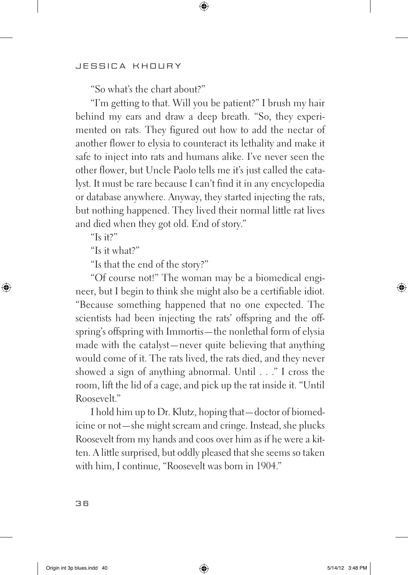"So what's the chart about?"

"I'm getting to that. Will you be patient?" I brush my hair behind my ears and draw a deep breath. "So, they experimented on rats. They figured out how to add the nectar of another flower to elysia to counteract its lethality and make it safe to inject into rats and humans alike. I've never seen the other flower, but Uncle Paolo tells me it's just called the catalyst. It must be rare because I can't find it in any encyclopedia or database anywhere. Anyway, they started injecting the rats, but nothing happened. They lived their normal little rat lives and died when they got old. End of story."

 $T_s$  it?"

"Is it what?"

"Is that the end of the story?"

"Of course not!" The woman may be a biomedical engineer, but I begin to think she might also be a certifiable idiot. "Because something happened that no one expected. The scientists had been injecting the rats' offspring and the offspring's offspring with Immortis—the nonlethal form of elysia made with the catalyst—never quite believing that anything would come of it. The rats lived, the rats died, and they never showed a sign of anything abnormal. Until . . ." I cross the room, lift the lid of a cage, and pick up the rat inside it. "Until Roosevelt"

I hold him up to Dr. Klutz, hoping that—doctor of biomedicine or not—she might scream and cringe. Instead, she plucks Roosevelt from my hands and coos over him as if he were a kitten. A little surprised, but oddly pleased that she seems so taken with him, I continue, "Roosevelt was born in 1904."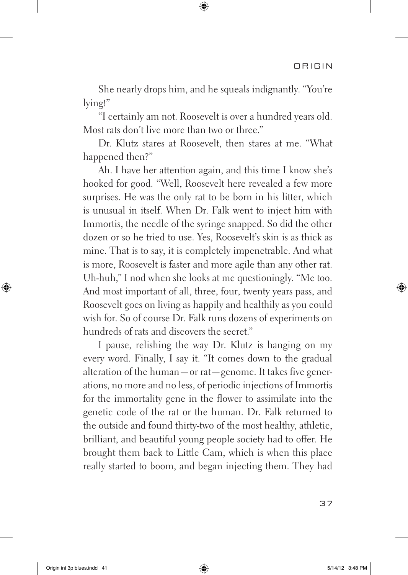She nearly drops him, and he squeals indignantly. "You're lying!"

"I certainly am not. Roosevelt is over a hundred years old. Most rats don't live more than two or three."

Dr. Klutz stares at Roosevelt, then stares at me. "What happened then?"

Ah. I have her attention again, and this time I know she's hooked for good. "Well, Roosevelt here revealed a few more surprises. He was the only rat to be born in his litter, which is unusual in itself. When Dr. Falk went to inject him with Immortis, the needle of the syringe snapped. So did the other dozen or so he tried to use. Yes, Roosevelt's skin is as thick as mine. That is to say, it is completely impenetrable. And what is more, Roosevelt is faster and more agile than any other rat. Uh-huh," I nod when she looks at me questioningly. "Me too. And most important of all, three, four, twenty years pass, and Roosevelt goes on living as happily and healthily as you could wish for. So of course Dr. Falk runs dozens of experiments on hundreds of rats and discovers the secret."

I pause, relishing the way Dr. Klutz is hanging on my every word. Finally, I say it. "It comes down to the gradual alteration of the human—or rat—genome. It takes five generations, no more and no less, of periodic injections of Immortis for the immortality gene in the flower to assimilate into the genetic code of the rat or the human. Dr. Falk returned to the outside and found thirty-two of the most healthy, athletic, brilliant, and beautiful young people society had to offer. He brought them back to Little Cam, which is when this place really started to boom, and began injecting them. They had